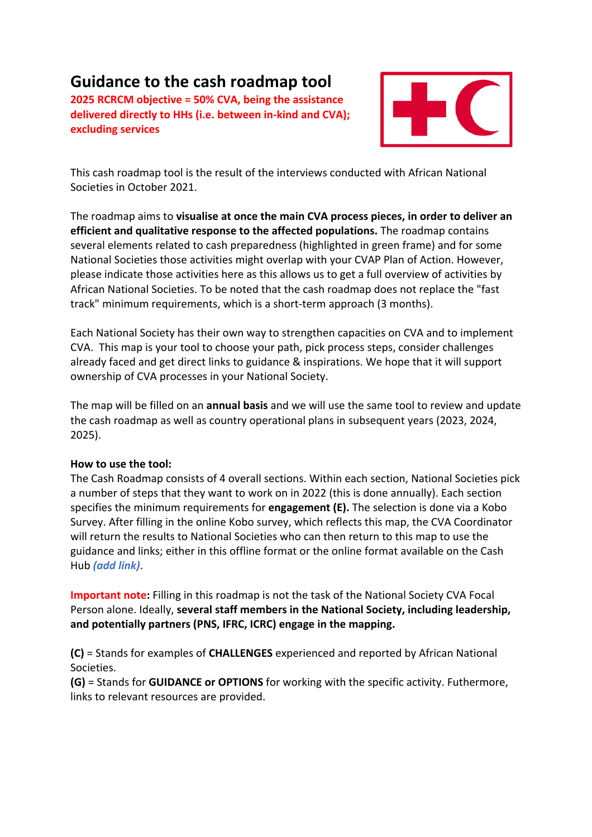# **Guidance to the cash roadmap tool**

**2025 RCRCM objective = 50% CVA, being the assistance** delivered directly to HHs (i.e. between in-kind and CVA); **excluding services**



This cash roadmap tool is the result of the interviews conducted with African National Societies in October 2021.

The roadmap aims to **visualise at once the main CVA process pieces, in order to deliver an efficient and qualitative response to the affected populations.** The roadmap contains several elements related to cash preparedness (highlighted in green frame) and for some National Societies those activities might overlap with your CVAP Plan of Action. However, please indicate those activities here as this allows us to get a full overview of activities by African National Societies. To be noted that the cash roadmap does not replace the "fast track" minimum requirements, which is a short-term approach (3 months).

Each National Society has their own way to strengthen capacities on CVA and to implement CVA. This map is your tool to choose your path, pick process steps, consider challenges already faced and get direct links to guidance & inspirations. We hope that it will support ownership of CVA processes in your National Society.

The map will be filled on an **annual basis** and we will use the same tool to review and update the cash roadmap as well as country operational plans in subsequent years (2023, 2024, 2025).

#### **How to use the tool:**

The Cash Roadmap consists of 4 overall sections. Within each section, National Societies pick a number of steps that they want to work on in 2022 (this is done annually). Each section specifies the minimum requirements for **engagement (E).** The selection is done via a Kobo Survey. After filling in the online Kobo survey, which reflects this map, the CVA Coordinator will return the results to National Societies who can then return to this map to use the guidance and links; either in this offline format or the online format available on the Cash Hub *(add link)*.

**Important note:** Filling in this roadmap is not the task of the National Society CVA Focal Person alone. Ideally, several staff members in the National Society, including leadership, and potentially partners (PNS, IFRC, ICRC) engage in the mapping.

**(C)** = Stands for examples of **CHALLENGES** experienced and reported by African National Societies.

**(G)** = Stands for **GUIDANCE** or **OPTIONS** for working with the specific activity. Futhermore, links to relevant resources are provided.